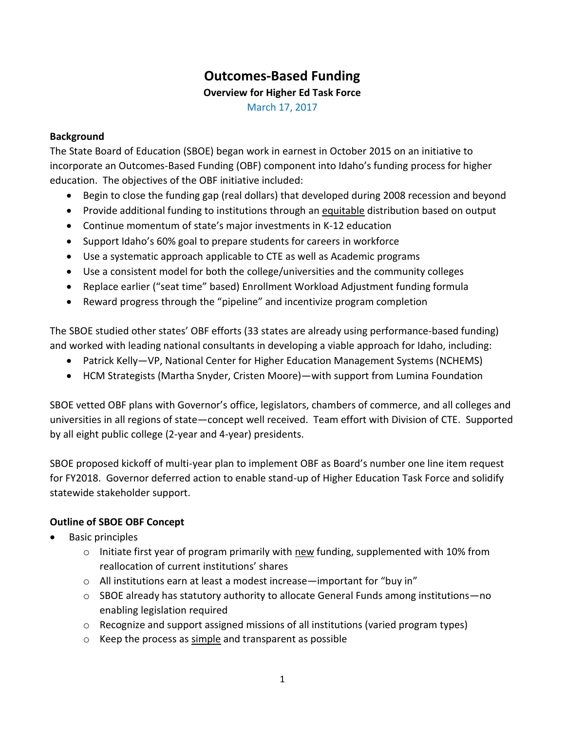## **Outcomes-Based Funding**

## **Overview for Higher Ed Task Force**

March 17, 2017

## **Background**

The State Board of Education (SBOE) began work in earnest in October 2015 on an initiative to incorporate an Outcomes-Based Funding (OBF) component into Idaho's funding process for higher education. The objectives of the OBF initiative included:

- Begin to close the funding gap (real dollars) that developed during 2008 recession and beyond
- Provide additional funding to institutions through an equitable distribution based on output
- Continue momentum of state's major investments in K-12 education
- Support Idaho's 60% goal to prepare students for careers in workforce
- Use a systematic approach applicable to CTE as well as Academic programs
- Use a consistent model for both the college/universities and the community colleges
- Replace earlier ("seat time" based) Enrollment Workload Adjustment funding formula
- Reward progress through the "pipeline" and incentivize program completion

The SBOE studied other states' OBF efforts (33 states are already using performance-based funding) and worked with leading national consultants in developing a viable approach for Idaho, including:

- Patrick Kelly—VP, National Center for Higher Education Management Systems (NCHEMS)
- HCM Strategists (Martha Snyder, Cristen Moore)—with support from Lumina Foundation

SBOE vetted OBF plans with Governor's office, legislators, chambers of commerce, and all colleges and universities in all regions of state—concept well received. Team effort with Division of CTE. Supported by all eight public college (2-year and 4-year) presidents.

SBOE proposed kickoff of multi-year plan to implement OBF as Board's number one line item request for FY2018. Governor deferred action to enable stand-up of Higher Education Task Force and solidify statewide stakeholder support.

## **Outline of SBOE OBF Concept**

- Basic principles
	- o Initiate first year of program primarily with new funding, supplemented with 10% from reallocation of current institutions' shares
	- o All institutions earn at least a modest increase—important for "buy in"
	- o SBOE already has statutory authority to allocate General Funds among institutions—no enabling legislation required
	- o Recognize and support assigned missions of all institutions (varied program types)
	- o Keep the process as simple and transparent as possible